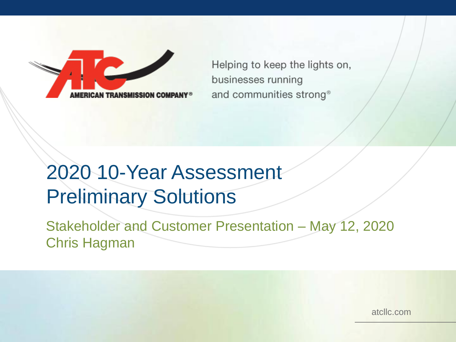Helping to keep the lights on, businesses running and communities strong<sup>®</sup>

# 2020 10-Year Assessment Preliminary Solutions

Stakeholder and Customer Presentation – May 12, 2020 Chris Hagman

atcllc.com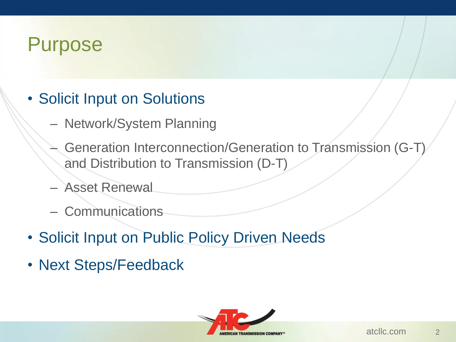## Purpose

- Solicit Input on Solutions
	- Network/System Planning
	- Generation Interconnection/Generation to Transmission (G-T) and Distribution to Transmission (D-T)
	- Asset Renewal
	- Communications
- Solicit Input on Public Policy Driven Needs
- Next Steps/Feedback

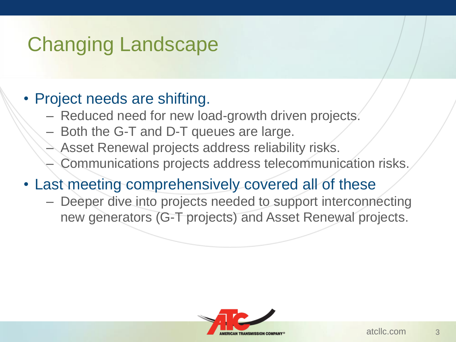# Changing Landscape

#### • Project needs are shifting.

- Reduced need for new load-growth driven projects.
- Both the G-T and D-T queues are large.
- Asset Renewal projects address reliability risks.
- Communications projects address telecommunication risks.
- Last meeting comprehensively covered all of these
	- Deeper dive into projects needed to support interconnecting new generators (G-T projects) and Asset Renewal projects.

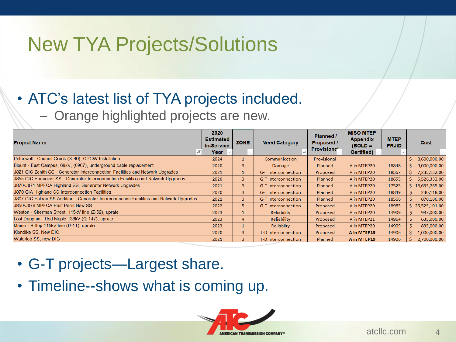## New TYA Projects/Solutions

#### • ATC's latest list of TYA projects included. – Orange highlighted projects are new.

| <b>Project Name</b>                                                                     | 2020<br><b>Estimated</b><br><b>In-Service</b><br>Year | <b>ZONE</b>    | <b>Need Category</b>       | Planned /<br>Proposed /<br>Provisional | <b>MISO MTEP</b><br><b>Appendix</b><br>$(BOLD =$<br><b>Certified</b> ) | <b>MTEP</b><br><b>PRJID</b> | Cost               |
|-----------------------------------------------------------------------------------------|-------------------------------------------------------|----------------|----------------------------|----------------------------------------|------------------------------------------------------------------------|-----------------------------|--------------------|
| Petenwell - Council Creek (X-40), OPGW Installation                                     | 2024                                                  |                | Communication              | Provisional                            |                                                                        |                             | 8,600,000.00<br>S  |
| Blount - East Campus, 69kV, (6907), underground cable replacement                       | 2020                                                  | 3              | Damage                     | <b>Planned</b>                         | A in MTEP20                                                            | 18848                       | 9,000,000.00       |
| J821 GIC Zenith SS - Generator Interconnection Facilities and Network Upgrades          | 2021                                                  |                | <b>G-T</b> Interconnection | Proposed                               | A in MTEP20                                                            | 18567                       | 7,235,132.00       |
| J855 GIC Ebenezer SS - Generator Interconnection Facilities and Network Upgrades        | 2020                                                  | $\overline{3}$ | <b>G-T</b> Interconnection | Planned                                | A in MTEP20                                                            | 18655                       | 5,526,333.00       |
| J870/J871 MPFCA Highland SS, Generator Network Upgrades                                 | 2021                                                  | $\overline{3}$ | <b>G-T</b> Interconnection | Planned                                | A in MTEP20                                                            | 17525                       | \$16,655,765.00    |
| <b>J870 GIA Highland SS Interconnection Facilities</b>                                  | 2020                                                  | $\overline{3}$ | <b>G-T</b> Interconnection | Planned                                | A in MTEP20                                                            | 18849                       | 230,118.00         |
| J807 GIC Falcon SS Addition - Generator Interconnection Facilities and Network Upgrades | 2021                                                  | 3              | <b>G-T</b> Interconnection | Planned                                | A in MTEP20                                                            | 18566                       | 870,186.00         |
| J850/J878 MPFCA East Paris New SS                                                       | 2022                                                  | 5              | <b>G-T</b> Interconnection | Proposed                               | A in MTEP20                                                            | 18985                       | 25,525,101.00<br>Ś |
| Weston - Sherman Street, 115kV line (Z-52), uprate                                      | 2023                                                  |                | Reliability                | Proposed                               | A in MTEP20                                                            | 14909                       | 997,000.00         |
| Lost Dauphin - Red Maple 138kV (Q-147), uprate                                          | 2023                                                  | 4              | Reliability                | Proposed                               | A in MTEP21                                                            | 14964                       | 635,000.00         |
| Maine - Hilltop 115kV line (U-11), uprate                                               | 2023                                                  |                | <b>Reliabilty</b>          | Proposed                               | A in MTEP20                                                            | 14909                       | 835,000.00         |
| Klondike SS, New DIC                                                                    | 2020                                                  | $\overline{3}$ | T-D Interconnection        | Proposed                               | A in MTEP19                                                            | 14906                       | 1,000,000.00       |
| Waterloo SS, new DIC                                                                    | 2021                                                  | 3              | <b>T-D Interconnection</b> | <b>Planned</b>                         | A in MTEP19                                                            | 14906                       | 2,700,000.00       |

- G-T projects—Largest share.
- Timeline--shows what is coming up.

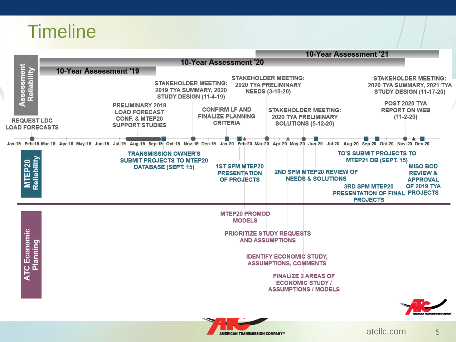### **Timeline**



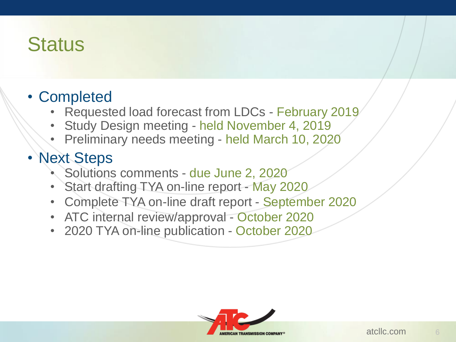### **Status**

- Completed
	- Requested load forecast from LDCs February 2019
	- Study Design meeting held November 4, 2019
	- Preliminary needs meeting held March 10, 2020

### • Next Steps

- Solutions comments due June 2, 2020
- Start drafting TYA on-line report May 2020
- Complete TYA on-line draft report September 2020
- ATC internal review/approval October 2020
- 2020 TYA on-line publication October 2020